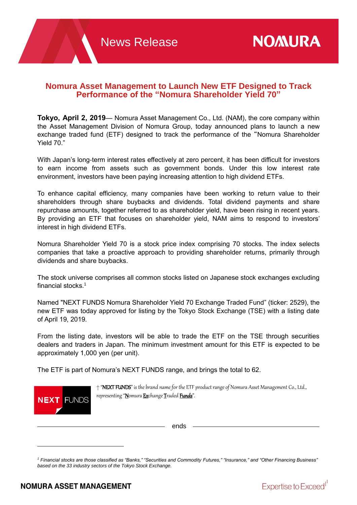# **Nomura Asset Management to Launch New ETF Designed to Track Performance of the "Nomura Shareholder Yield 70"**

**Tokyo, April 2, 2019**— Nomura Asset Management Co., Ltd. (NAM), the core company within the Asset Management Division of Nomura Group, today announced plans to launch a new exchange traded fund (ETF) designed to track the performance of the "Nomura Shareholder Yield 70."

With Japan's long-term interest rates effectively at zero percent, it has been difficult for investors to earn income from assets such as government bonds. Under this low interest rate environment, investors have been paying increasing attention to high dividend ETFs.

To enhance capital efficiency, many companies have been working to return value to their shareholders through share buybacks and dividends. Total dividend payments and share repurchase amounts, together referred to as shareholder yield, have been rising in recent years. By providing an ETF that focuses on shareholder yield, NAM aims to respond to investors' interest in high dividend ETFs.

Nomura Shareholder Yield 70 is a stock price index comprising 70 stocks. The index selects companies that take a proactive approach to providing shareholder returns, primarily through dividends and share buybacks.

The stock universe comprises all common stocks listed on Japanese stock exchanges excluding financial stocks. 1

Named "NEXT FUNDS Nomura Shareholder Yield 70 Exchange Traded Fund" (ticker: 2529), the new ETF was today approved for listing by the Tokyo Stock Exchange (TSE) with a listing date of April 19, 2019.

From the listing date, investors will be able to trade the ETF on the TSE through securities dealers and traders in Japan. The minimum investment amount for this ETF is expected to be approximately 1,000 yen (per unit).

The ETF is part of Nomura's NEXT FUNDS range, and brings the total to 62.



 $\overline{a}$ 

† "NEXT FUNDS" is the brand name for the ETF product range of Nomura Asset Management Co., Ltd., representing "Nomura Exchange Traded Funds".

ends

<sup>&</sup>lt;sup>1</sup> Financial stocks are those classified as "Banks," "Securities and Commodity Futures," "Insurance," and "Other Financing Business" *based on the 33 industry sectors of the Tokyo Stock Exchange.*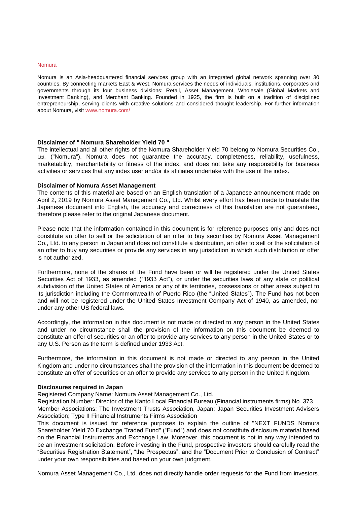#### Nomura

Nomura is an Asia-headquartered financial services group with an integrated global network spanning over 30 countries. By connecting markets East & West, Nomura services the needs of individuals, institutions, corporates and governments through its four business divisions: Retail, Asset Management, Wholesale (Global Markets and Investment Banking), and Merchant Banking. Founded in 1925, the firm is built on a tradition of disciplined entrepreneurship, serving clients with creative solutions and considered thought leadership. For further information about Nomura, visit [www.nomura.com/](https://www.nomura.com/)

## **Disclaimer of " Nomura Shareholder Yield 70 "**

The intellectual and all other rights of the Nomura Shareholder Yield 70 belong to Nomura Securities Co., Ltd. ("Nomura"). Nomura does not guarantee the accuracy, completeness, reliability, usefulness, marketability, merchantability or fitness of the index, and does not take any responsibility for business activities or services that any index user and/or its affiliates undertake with the use of the index.

#### **Disclaimer of Nomura Asset Management**

The contents of this material are based on an English translation of a Japanese announcement made on April 2, 2019 by Nomura Asset Management Co., Ltd. Whilst every effort has been made to translate the Japanese document into English, the accuracy and correctness of this translation are not guaranteed, therefore please refer to the original Japanese document.

Please note that the information contained in this document is for reference purposes only and does not constitute an offer to sell or the solicitation of an offer to buy securities by Nomura Asset Management Co., Ltd. to any person in Japan and does not constitute a distribution, an offer to sell or the solicitation of an offer to buy any securities or provide any services in any jurisdiction in which such distribution or offer is not authorized.

Furthermore, none of the shares of the Fund have been or will be registered under the United States Securities Act of 1933, as amended ("1933 Act"), or under the securities laws of any state or political subdivision of the United States of America or any of its territories, possessions or other areas subject to its jurisdiction including the Commonwealth of Puerto Rico (the "United States"). The Fund has not been and will not be registered under the United States Investment Company Act of 1940, as amended, nor under any other US federal laws.

Accordingly, the information in this document is not made or directed to any person in the United States and under no circumstance shall the provision of the information on this document be deemed to constitute an offer of securities or an offer to provide any services to any person in the United States or to any U.S. Person as the term is defined under 1933 Act.

Furthermore, the information in this document is not made or directed to any person in the United Kingdom and under no circumstances shall the provision of the information in this document be deemed to constitute an offer of securities or an offer to provide any services to any person in the United Kingdom.

#### **Disclosures required in Japan**

Registered Company Name: Nomura Asset Management Co., Ltd.

Registration Number: Director of the Kanto Local Financial Bureau (Financial instruments firms) No. 373 Member Associations: The Investment Trusts Association, Japan; Japan Securities Investment Advisers Association; Type II Financial Instruments Firms Association

This document is issued for reference purposes to explain the outline of "NEXT FUNDS Nomura Shareholder Yield 70 Exchange Traded Fund" ("Fund") and does not constitute disclosure material based on the Financial Instruments and Exchange Law. Moreover, this document is not in any way intended to be an investment solicitation. Before investing in the Fund, prospective investors should carefully read the "Securities Registration Statement", "the Prospectus", and the "Document Prior to Conclusion of Contract" under your own responsibilities and based on your own judgment.

Nomura Asset Management Co., Ltd. does not directly handle order requests for the Fund from investors.